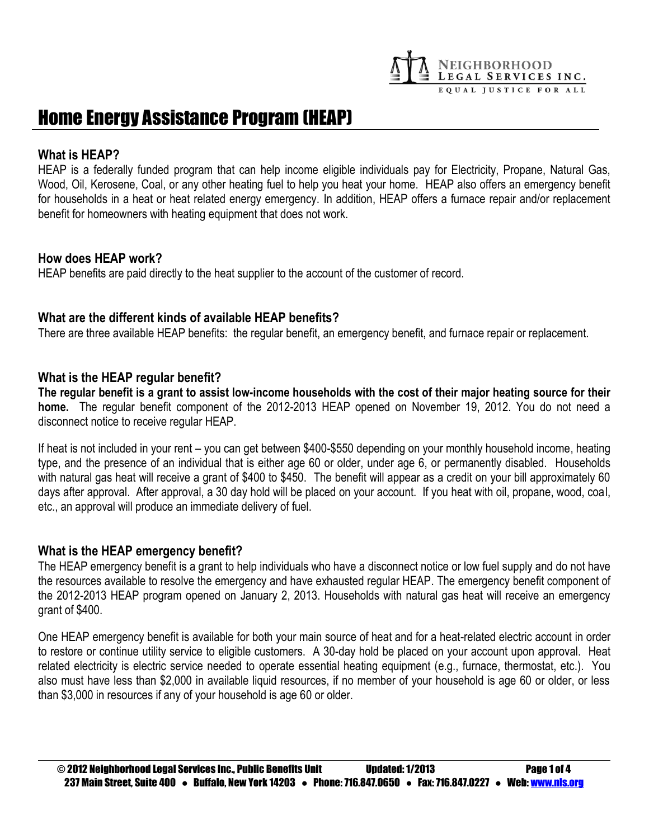

# Home Energy Assistance Program (HEAP)

#### **What is HEAP?**

HEAP is a federally funded program that can help income eligible individuals pay for Electricity, Propane, Natural Gas, Wood, Oil, Kerosene, Coal, or any other heating fuel to help you heat your home. HEAP also offers an emergency benefit for households in a heat or heat related energy emergency. In addition, HEAP offers a furnace repair and/or replacement benefit for homeowners with heating equipment that does not work.

#### **How does HEAP work?**

HEAP benefits are paid directly to the heat supplier to the account of the customer of record.

## **What are the different kinds of available HEAP benefits?**

There are three available HEAP benefits: the regular benefit, an emergency benefit, and furnace repair or replacement.

## **What is the HEAP regular benefit?**

**The regular benefit is a grant to assist low-income households with the cost of their major heating source for their home.** The regular benefit component of the 2012-2013 HEAP opened on November 19, 2012. You do not need a disconnect notice to receive regular HEAP.

If heat is not included in your rent – you can get between \$400-\$550 depending on your monthly household income, heating type, and the presence of an individual that is either age 60 or older, under age 6, or permanently disabled. Households with natural gas heat will receive a grant of \$400 to \$450. The benefit will appear as a credit on your bill approximately 60 days after approval. After approval, a 30 day hold will be placed on your account. If you heat with oil, propane, wood, coal, etc., an approval will produce an immediate delivery of fuel.

#### **What is the HEAP emergency benefit?**

The HEAP emergency benefit is a grant to help individuals who have a disconnect notice or low fuel supply and do not have the resources available to resolve the emergency and have exhausted regular HEAP. The emergency benefit component of the 2012-2013 HEAP program opened on January 2, 2013. Households with natural gas heat will receive an emergency grant of \$400.

One HEAP emergency benefit is available for both your main source of heat and for a heat-related electric account in order to restore or continue utility service to eligible customers. A 30-day hold be placed on your account upon approval. Heat related electricity is electric service needed to operate essential heating equipment (e.g., furnace, thermostat, etc.). You also must have less than \$2,000 in available liquid resources, if no member of your household is age 60 or older, or less than \$3,000 in resources if any of your household is age 60 or older.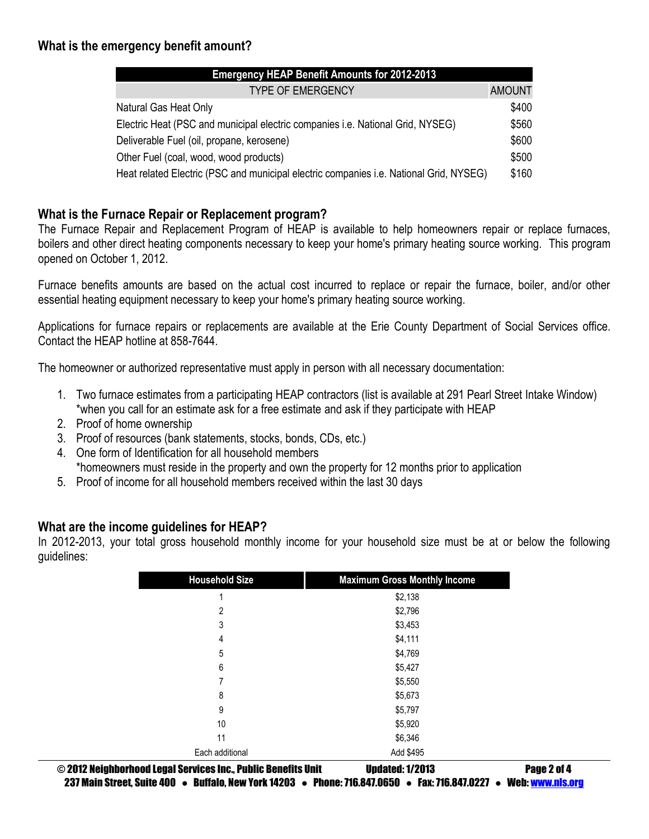# **What is the emergency benefit amount?**

| <b>Emergency HEAP Benefit Amounts for 2012-2013</b>                                           |               |
|-----------------------------------------------------------------------------------------------|---------------|
| <b>TYPE OF EMERGENCY</b>                                                                      | <b>AMOUNT</b> |
| Natural Gas Heat Only                                                                         | \$400         |
| Electric Heat (PSC and municipal electric companies i.e. National Grid, NYSEG)                | \$560         |
| Deliverable Fuel (oil, propane, kerosene)                                                     | \$600         |
| Other Fuel (coal, wood, wood products)                                                        | \$500         |
| Heat related Electric (PSC and municipal electric companies <i>i.e.</i> National Grid, NYSEG) | \$160         |

## **What is the Furnace Repair or Replacement program?**

The Furnace Repair and Replacement Program of HEAP is available to help homeowners repair or replace furnaces, boilers and other direct heating components necessary to keep your home's primary heating source working. This program opened on October 1, 2012.

Furnace benefits amounts are based on the actual cost incurred to replace or repair the furnace, boiler, and/or other essential heating equipment necessary to keep your home's primary heating source working.

Applications for furnace repairs or replacements are available at the Erie County Department of Social Services office. Contact the HEAP hotline at 858-7644.

The homeowner or authorized representative must apply in person with all necessary documentation:

- 1. Two furnace estimates from a participating HEAP contractors (list is available at 291 Pearl Street Intake Window) \*when you call for an estimate ask for a free estimate and ask if they participate with HEAP
- 2. Proof of home ownership
- 3. Proof of resources (bank statements, stocks, bonds, CDs, etc.)
- 4. One form of Identification for all household members \*homeowners must reside in the property and own the property for 12 months prior to application
- 5. Proof of income for all household members received within the last 30 days

## **What are the income guidelines for HEAP?**

In 2012-2013, your total gross household monthly income for your household size must be at or below the following guidelines:

| <b>Household Size</b> | <b>Maximum Gross Monthly Income</b> |
|-----------------------|-------------------------------------|
| 1                     | \$2,138                             |
| $\overline{2}$        | \$2,796                             |
| 3                     | \$3,453                             |
| 4                     | \$4,111                             |
| 5                     | \$4,769                             |
| 6                     | \$5,427                             |
| 7                     | \$5,550                             |
| 8                     | \$5,673                             |
| 9                     | \$5,797                             |
| 10                    | \$5,920                             |
| 11                    | \$6,346                             |
| Each additional       | Add \$495                           |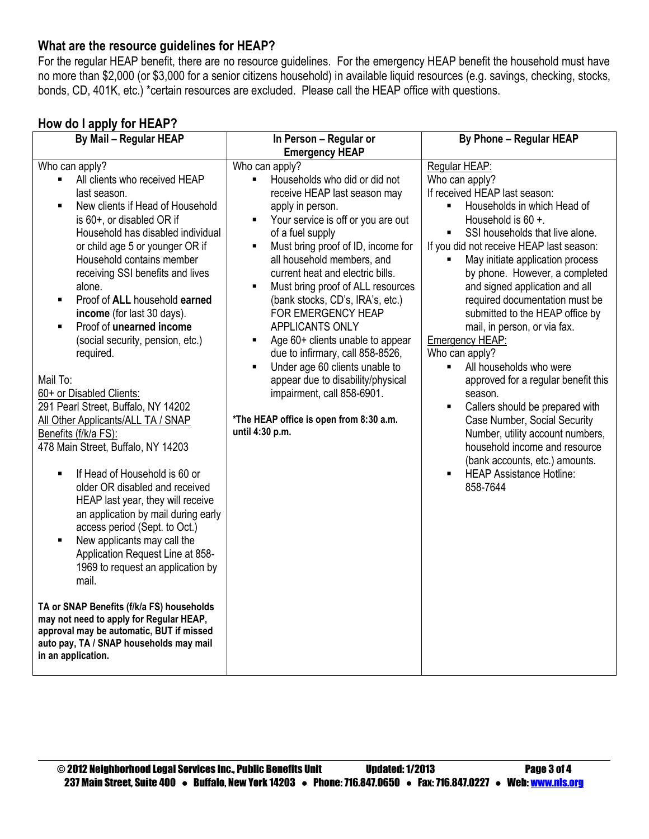## **What are the resource guidelines for HEAP?**

For the regular HEAP benefit, there are no resource guidelines. For the emergency HEAP benefit the household must have no more than \$2,000 (or \$3,000 for a senior citizens household) in available liquid resources (e.g. savings, checking, stocks, bonds, CD, 401K, etc.) \*certain resources are excluded. Please call the HEAP office with questions.

# **How do I apply for HEAP?**

| <b>Emergency HEAP</b><br>Who can apply?<br>Who can apply?<br>Regular HEAP:<br>All clients who received HEAP<br>Who can apply?<br>Households who did or did not<br>$\blacksquare$<br>$\blacksquare$<br>If received HEAP last season:<br>last season.<br>receive HEAP last season may<br>New clients if Head of Household<br>Households in which Head of<br>apply in person.<br>$\blacksquare$<br>٠<br>Your service is off or you are out<br>is 60+, or disabled OR if<br>Household is 60 +.<br>٠<br>Household has disabled individual<br>of a fuel supply<br>SSI households that live alone.<br>п<br>or child age 5 or younger OR if<br>Must bring proof of ID, income for<br>If you did not receive HEAP last season:<br>٠<br>Household contains member<br>all household members, and<br>May initiate application process<br>receiving SSI benefits and lives<br>current heat and electric bills.<br>by phone. However, a completed<br>Must bring proof of ALL resources<br>and signed application and all<br>alone.<br>Ξ<br>Proof of ALL household earned<br>(bank stocks, CD's, IRA's, etc.)<br>required documentation must be<br>٠<br>FOR EMERGENCY HEAP<br>submitted to the HEAP office by<br>income (for last 30 days).<br>Proof of unearned income<br>APPLICANTS ONLY<br>mail, in person, or via fax.<br>$\blacksquare$<br>Age 60+ clients unable to appear<br>(social security, pension, etc.)<br><b>Emergency HEAP:</b><br>٠<br>due to infirmary, call 858-8526,<br>required.<br>Who can apply?<br>Under age 60 clients unable to<br>All households who were<br>$\blacksquare$<br>٠<br>Mail To:<br>appear due to disability/physical<br>approved for a regular benefit this<br>impairment, call 858-6901.<br>60+ or Disabled Clients:<br>season.<br>291 Pearl Street, Buffalo, NY 14202<br>Callers should be prepared with<br>*The HEAP office is open from 8:30 a.m.<br>All Other Applicants/ALL TA / SNAP<br>Case Number, Social Security<br>until 4:30 p.m.<br>Number, utility account numbers,<br>Benefits (f/k/a FS):<br>478 Main Street, Buffalo, NY 14203<br>household income and resource<br>(bank accounts, etc.) amounts.<br>If Head of Household is 60 or<br><b>HEAP Assistance Hotline:</b><br>$\blacksquare$<br>858-7644<br>older OR disabled and received<br>HEAP last year, they will receive<br>an application by mail during early<br>access period (Sept. to Oct.)<br>New applicants may call the<br>п<br>Application Request Line at 858- |
|----------------------------------------------------------------------------------------------------------------------------------------------------------------------------------------------------------------------------------------------------------------------------------------------------------------------------------------------------------------------------------------------------------------------------------------------------------------------------------------------------------------------------------------------------------------------------------------------------------------------------------------------------------------------------------------------------------------------------------------------------------------------------------------------------------------------------------------------------------------------------------------------------------------------------------------------------------------------------------------------------------------------------------------------------------------------------------------------------------------------------------------------------------------------------------------------------------------------------------------------------------------------------------------------------------------------------------------------------------------------------------------------------------------------------------------------------------------------------------------------------------------------------------------------------------------------------------------------------------------------------------------------------------------------------------------------------------------------------------------------------------------------------------------------------------------------------------------------------------------------------------------------------------------------------------------------------------------------------------------------------------------------------------------------------------------------------------------------------------------------------------------------------------------------------------------------------------------------------------------------------------------------------------------------------------------------------------------------------------------------------------------------------------------------------------------------------------------------|
|                                                                                                                                                                                                                                                                                                                                                                                                                                                                                                                                                                                                                                                                                                                                                                                                                                                                                                                                                                                                                                                                                                                                                                                                                                                                                                                                                                                                                                                                                                                                                                                                                                                                                                                                                                                                                                                                                                                                                                                                                                                                                                                                                                                                                                                                                                                                                                                                                                                                      |
| 1969 to request an application by<br>mail.<br>TA or SNAP Benefits (f/k/a FS) households<br>may not need to apply for Regular HEAP,<br>approval may be automatic, BUT if missed<br>auto pay, TA / SNAP households may mail<br>in an application.                                                                                                                                                                                                                                                                                                                                                                                                                                                                                                                                                                                                                                                                                                                                                                                                                                                                                                                                                                                                                                                                                                                                                                                                                                                                                                                                                                                                                                                                                                                                                                                                                                                                                                                                                                                                                                                                                                                                                                                                                                                                                                                                                                                                                      |